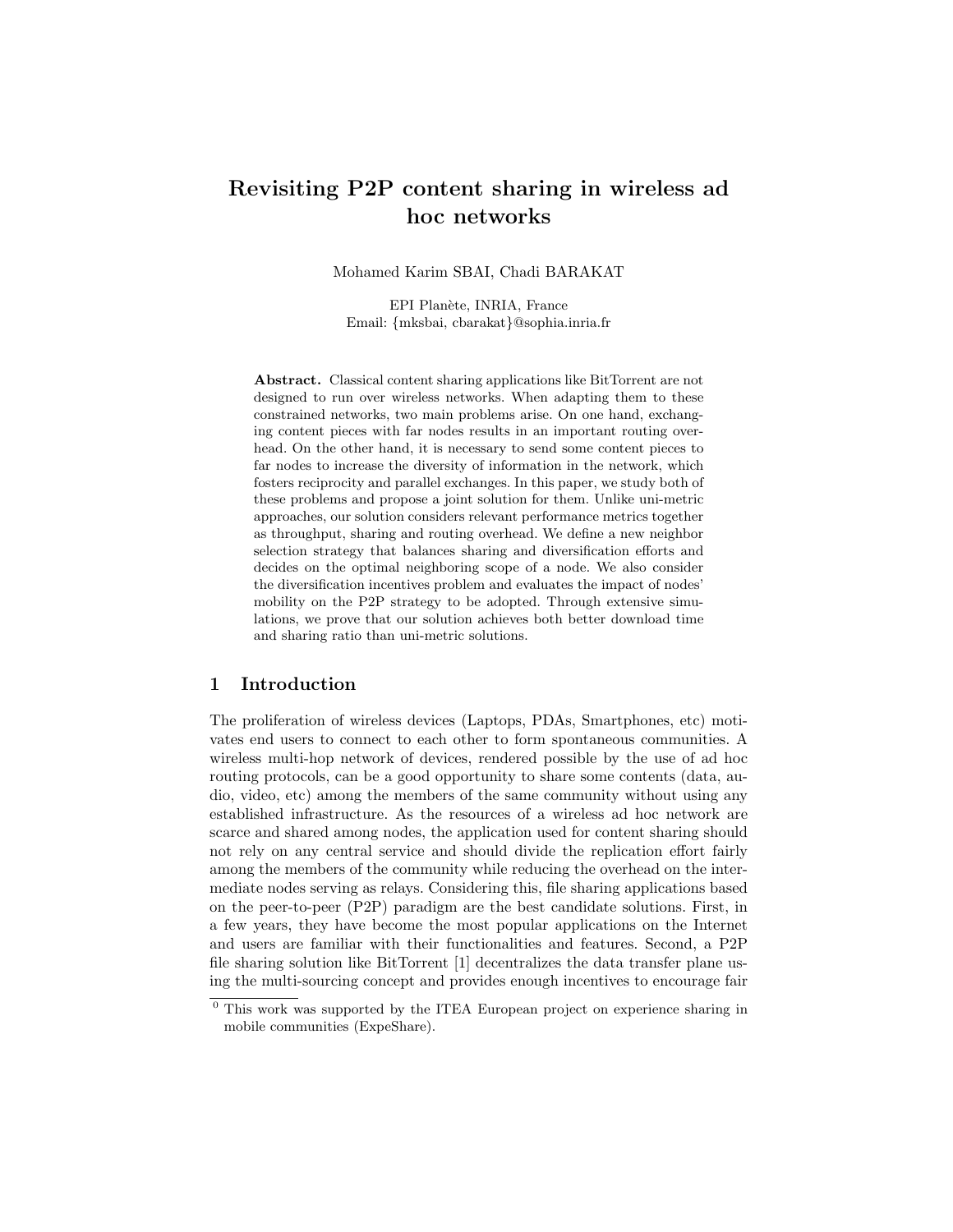# Revisiting P2P content sharing in wireless ad hoc networks

Mohamed Karim SBAI, Chadi BARAKAT

EPI Planète, INRIA, France Email: {mksbai, cbarakat}@sophia.inria.fr

Abstract. Classical content sharing applications like BitTorrent are not designed to run over wireless networks. When adapting them to these constrained networks, two main problems arise. On one hand, exchanging content pieces with far nodes results in an important routing overhead. On the other hand, it is necessary to send some content pieces to far nodes to increase the diversity of information in the network, which fosters reciprocity and parallel exchanges. In this paper, we study both of these problems and propose a joint solution for them. Unlike uni-metric approaches, our solution considers relevant performance metrics together as throughput, sharing and routing overhead. We define a new neighbor selection strategy that balances sharing and diversification efforts and decides on the optimal neighboring scope of a node. We also consider the diversification incentives problem and evaluates the impact of nodes' mobility on the P2P strategy to be adopted. Through extensive simulations, we prove that our solution achieves both better download time and sharing ratio than uni-metric solutions.

# 1 Introduction

The proliferation of wireless devices (Laptops, PDAs, Smartphones, etc) motivates end users to connect to each other to form spontaneous communities. A wireless multi-hop network of devices, rendered possible by the use of ad hoc routing protocols, can be a good opportunity to share some contents (data, audio, video, etc) among the members of the same community without using any established infrastructure. As the resources of a wireless ad hoc network are scarce and shared among nodes, the application used for content sharing should not rely on any central service and should divide the replication effort fairly among the members of the community while reducing the overhead on the intermediate nodes serving as relays. Considering this, file sharing applications based on the peer-to-peer (P2P) paradigm are the best candidate solutions. First, in a few years, they have become the most popular applications on the Internet and users are familiar with their functionalities and features. Second, a P2P file sharing solution like BitTorrent [1] decentralizes the data transfer plane using the multi-sourcing concept and provides enough incentives to encourage fair

 $<sup>0</sup>$  This work was supported by the ITEA European project on experience sharing in</sup> mobile communities (ExpeShare).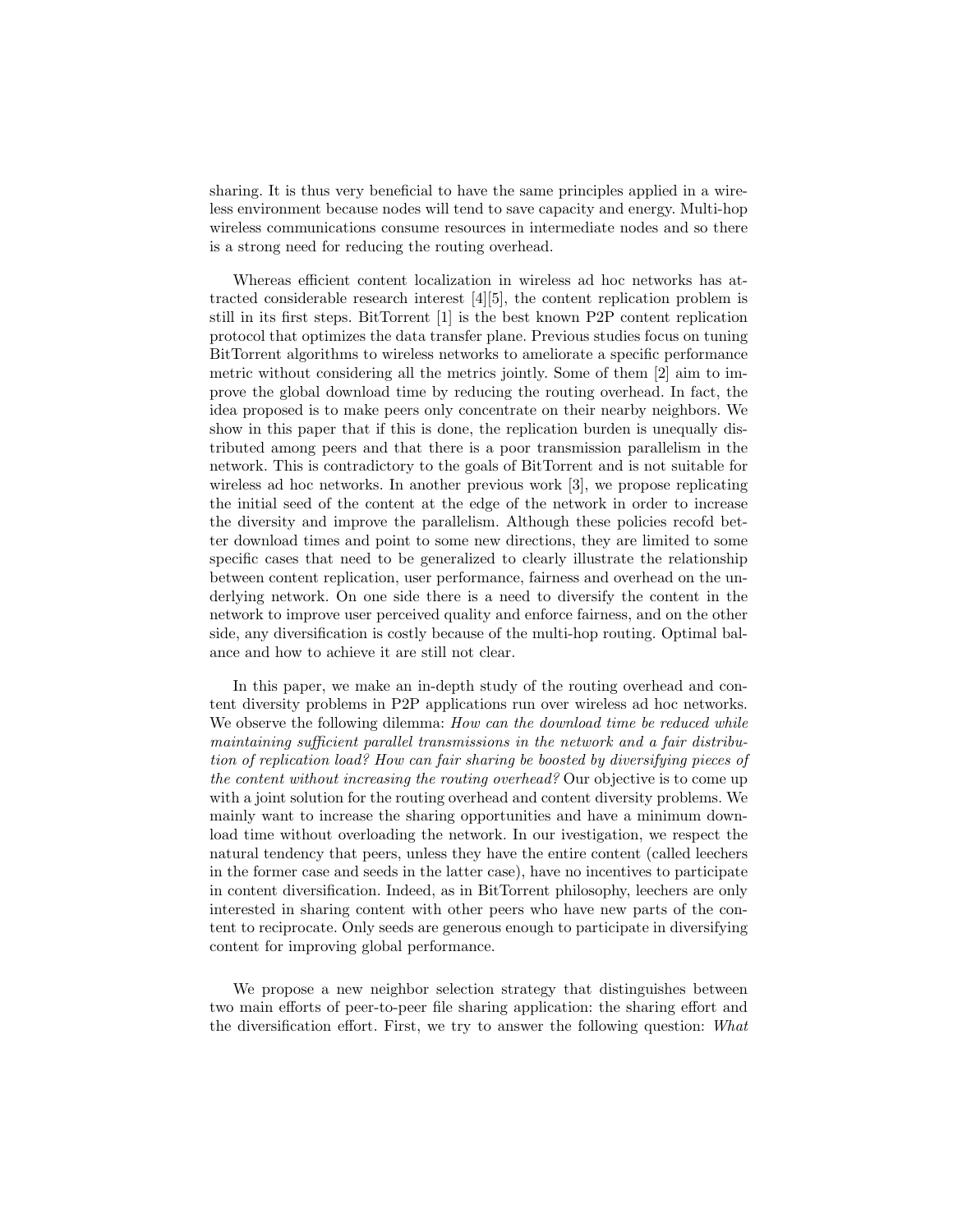sharing. It is thus very beneficial to have the same principles applied in a wireless environment because nodes will tend to save capacity and energy. Multi-hop wireless communications consume resources in intermediate nodes and so there is a strong need for reducing the routing overhead.

Whereas efficient content localization in wireless ad hoc networks has attracted considerable research interest [4][5], the content replication problem is still in its first steps. BitTorrent [1] is the best known P2P content replication protocol that optimizes the data transfer plane. Previous studies focus on tuning BitTorrent algorithms to wireless networks to ameliorate a specific performance metric without considering all the metrics jointly. Some of them [2] aim to improve the global download time by reducing the routing overhead. In fact, the idea proposed is to make peers only concentrate on their nearby neighbors. We show in this paper that if this is done, the replication burden is unequally distributed among peers and that there is a poor transmission parallelism in the network. This is contradictory to the goals of BitTorrent and is not suitable for wireless ad hoc networks. In another previous work [3], we propose replicating the initial seed of the content at the edge of the network in order to increase the diversity and improve the parallelism. Although these policies recofd better download times and point to some new directions, they are limited to some specific cases that need to be generalized to clearly illustrate the relationship between content replication, user performance, fairness and overhead on the underlying network. On one side there is a need to diversify the content in the network to improve user perceived quality and enforce fairness, and on the other side, any diversification is costly because of the multi-hop routing. Optimal balance and how to achieve it are still not clear.

In this paper, we make an in-depth study of the routing overhead and content diversity problems in P2P applications run over wireless ad hoc networks. We observe the following dilemma: How can the download time be reduced while maintaining sufficient parallel transmissions in the network and a fair distribution of replication load? How can fair sharing be boosted by diversifying pieces of the content without increasing the routing overhead? Our objective is to come up with a joint solution for the routing overhead and content diversity problems. We mainly want to increase the sharing opportunities and have a minimum download time without overloading the network. In our ivestigation, we respect the natural tendency that peers, unless they have the entire content (called leechers in the former case and seeds in the latter case), have no incentives to participate in content diversification. Indeed, as in BitTorrent philosophy, leechers are only interested in sharing content with other peers who have new parts of the content to reciprocate. Only seeds are generous enough to participate in diversifying content for improving global performance.

We propose a new neighbor selection strategy that distinguishes between two main efforts of peer-to-peer file sharing application: the sharing effort and the diversification effort. First, we try to answer the following question: What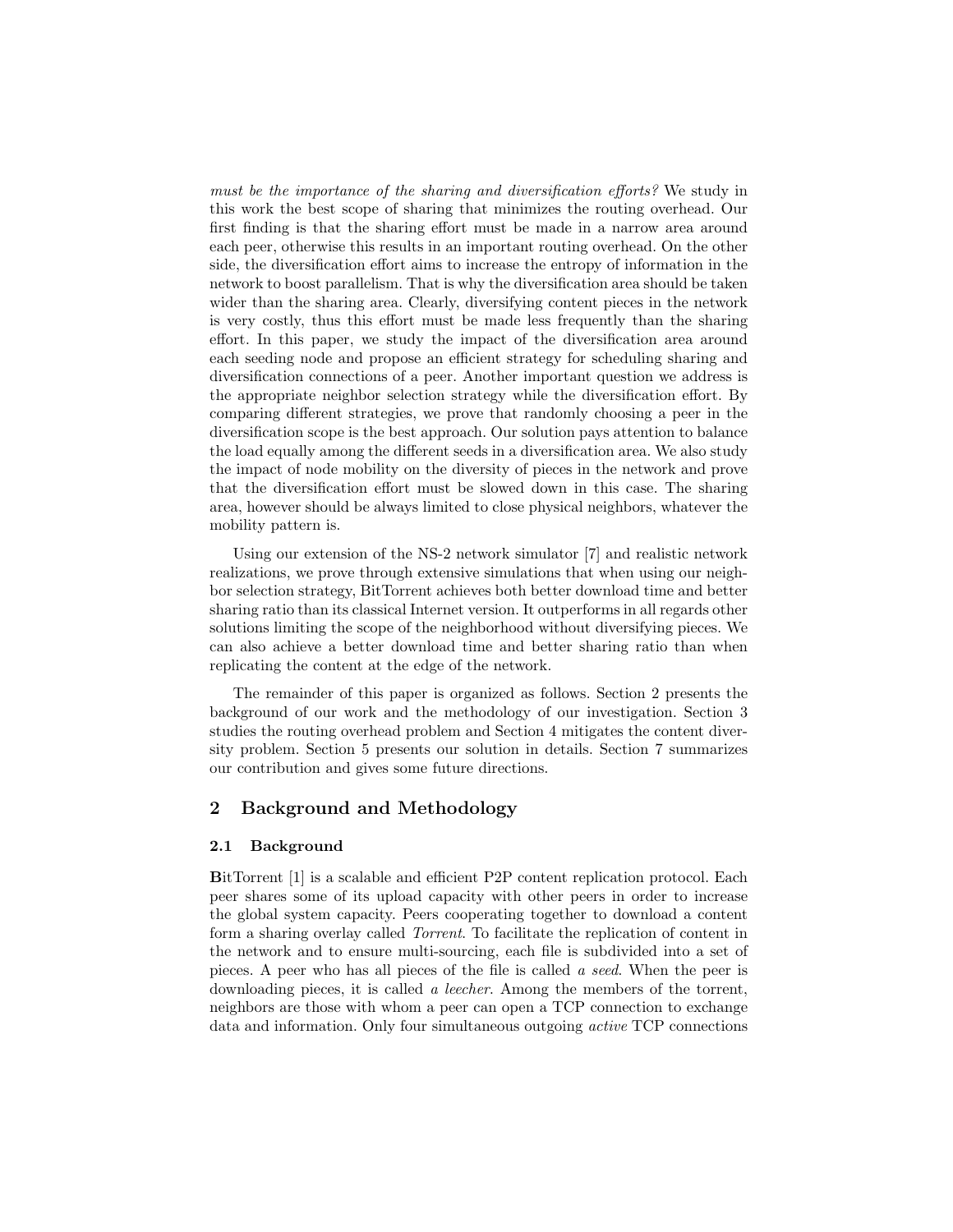must be the importance of the sharing and diversification efforts? We study in this work the best scope of sharing that minimizes the routing overhead. Our first finding is that the sharing effort must be made in a narrow area around each peer, otherwise this results in an important routing overhead. On the other side, the diversification effort aims to increase the entropy of information in the network to boost parallelism. That is why the diversification area should be taken wider than the sharing area. Clearly, diversifying content pieces in the network is very costly, thus this effort must be made less frequently than the sharing effort. In this paper, we study the impact of the diversification area around each seeding node and propose an efficient strategy for scheduling sharing and diversification connections of a peer. Another important question we address is the appropriate neighbor selection strategy while the diversification effort. By comparing different strategies, we prove that randomly choosing a peer in the diversification scope is the best approach. Our solution pays attention to balance the load equally among the different seeds in a diversification area. We also study the impact of node mobility on the diversity of pieces in the network and prove that the diversification effort must be slowed down in this case. The sharing area, however should be always limited to close physical neighbors, whatever the mobility pattern is.

Using our extension of the NS-2 network simulator [7] and realistic network realizations, we prove through extensive simulations that when using our neighbor selection strategy, BitTorrent achieves both better download time and better sharing ratio than its classical Internet version. It outperforms in all regards other solutions limiting the scope of the neighborhood without diversifying pieces. We can also achieve a better download time and better sharing ratio than when replicating the content at the edge of the network.

The remainder of this paper is organized as follows. Section 2 presents the background of our work and the methodology of our investigation. Section 3 studies the routing overhead problem and Section 4 mitigates the content diversity problem. Section 5 presents our solution in details. Section 7 summarizes our contribution and gives some future directions.

# 2 Background and Methodology

#### 2.1 Background

BitTorrent [1] is a scalable and efficient P2P content replication protocol. Each peer shares some of its upload capacity with other peers in order to increase the global system capacity. Peers cooperating together to download a content form a sharing overlay called Torrent. To facilitate the replication of content in the network and to ensure multi-sourcing, each file is subdivided into a set of pieces. A peer who has all pieces of the file is called a seed. When the peer is downloading pieces, it is called a leecher. Among the members of the torrent, neighbors are those with whom a peer can open a TCP connection to exchange data and information. Only four simultaneous outgoing active TCP connections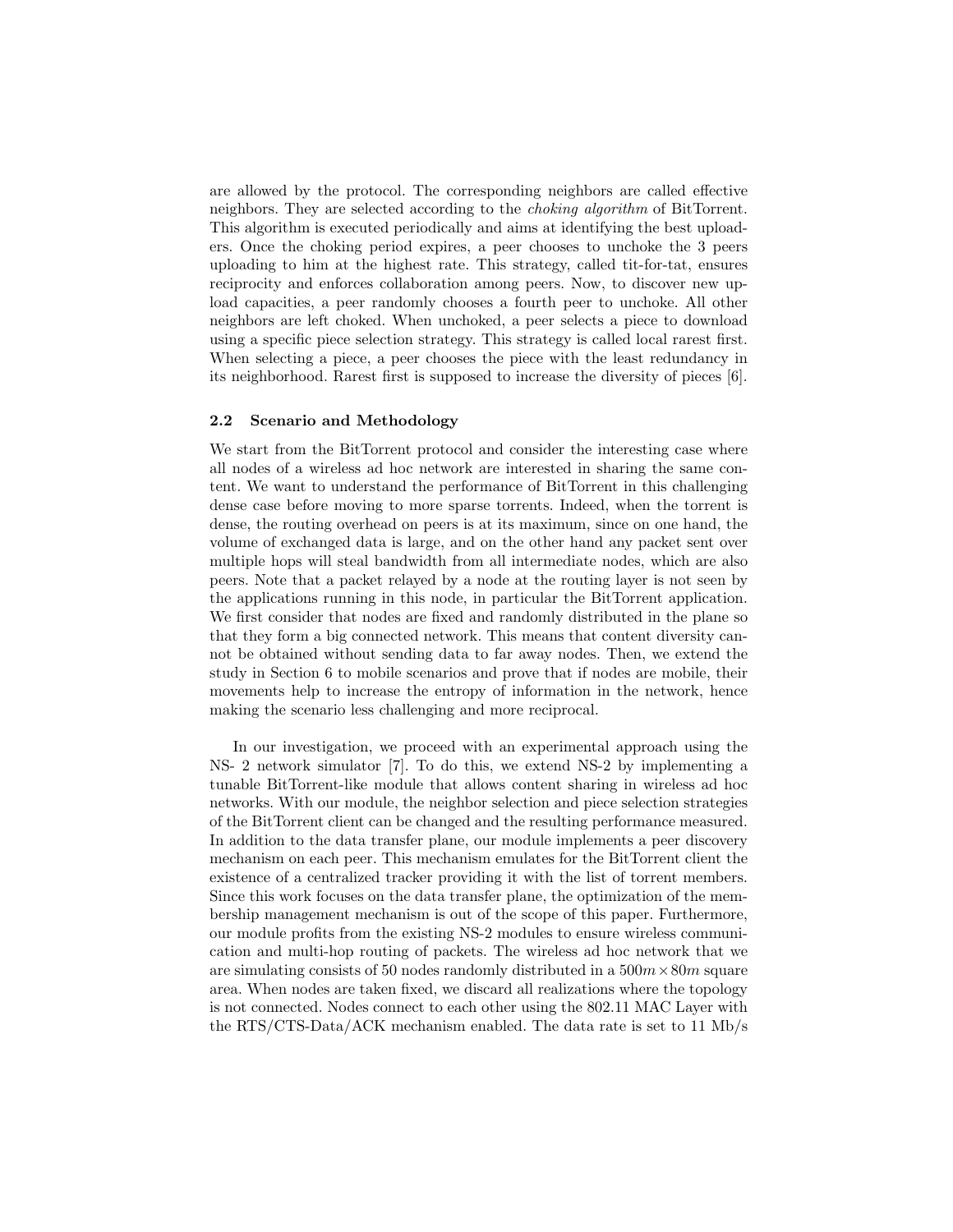are allowed by the protocol. The corresponding neighbors are called effective neighbors. They are selected according to the choking algorithm of BitTorrent. This algorithm is executed periodically and aims at identifying the best uploaders. Once the choking period expires, a peer chooses to unchoke the 3 peers uploading to him at the highest rate. This strategy, called tit-for-tat, ensures reciprocity and enforces collaboration among peers. Now, to discover new upload capacities, a peer randomly chooses a fourth peer to unchoke. All other neighbors are left choked. When unchoked, a peer selects a piece to download using a specific piece selection strategy. This strategy is called local rarest first. When selecting a piece, a peer chooses the piece with the least redundancy in its neighborhood. Rarest first is supposed to increase the diversity of pieces [6].

#### 2.2 Scenario and Methodology

We start from the BitTorrent protocol and consider the interesting case where all nodes of a wireless ad hoc network are interested in sharing the same content. We want to understand the performance of BitTorrent in this challenging dense case before moving to more sparse torrents. Indeed, when the torrent is dense, the routing overhead on peers is at its maximum, since on one hand, the volume of exchanged data is large, and on the other hand any packet sent over multiple hops will steal bandwidth from all intermediate nodes, which are also peers. Note that a packet relayed by a node at the routing layer is not seen by the applications running in this node, in particular the BitTorrent application. We first consider that nodes are fixed and randomly distributed in the plane so that they form a big connected network. This means that content diversity cannot be obtained without sending data to far away nodes. Then, we extend the study in Section 6 to mobile scenarios and prove that if nodes are mobile, their movements help to increase the entropy of information in the network, hence making the scenario less challenging and more reciprocal.

In our investigation, we proceed with an experimental approach using the NS- 2 network simulator [7]. To do this, we extend NS-2 by implementing a tunable BitTorrent-like module that allows content sharing in wireless ad hoc networks. With our module, the neighbor selection and piece selection strategies of the BitTorrent client can be changed and the resulting performance measured. In addition to the data transfer plane, our module implements a peer discovery mechanism on each peer. This mechanism emulates for the BitTorrent client the existence of a centralized tracker providing it with the list of torrent members. Since this work focuses on the data transfer plane, the optimization of the membership management mechanism is out of the scope of this paper. Furthermore, our module profits from the existing NS-2 modules to ensure wireless communication and multi-hop routing of packets. The wireless ad hoc network that we are simulating consists of 50 nodes randomly distributed in a  $500m \times 80m$  square area. When nodes are taken fixed, we discard all realizations where the topology is not connected. Nodes connect to each other using the 802.11 MAC Layer with the RTS/CTS-Data/ACK mechanism enabled. The data rate is set to 11 Mb/s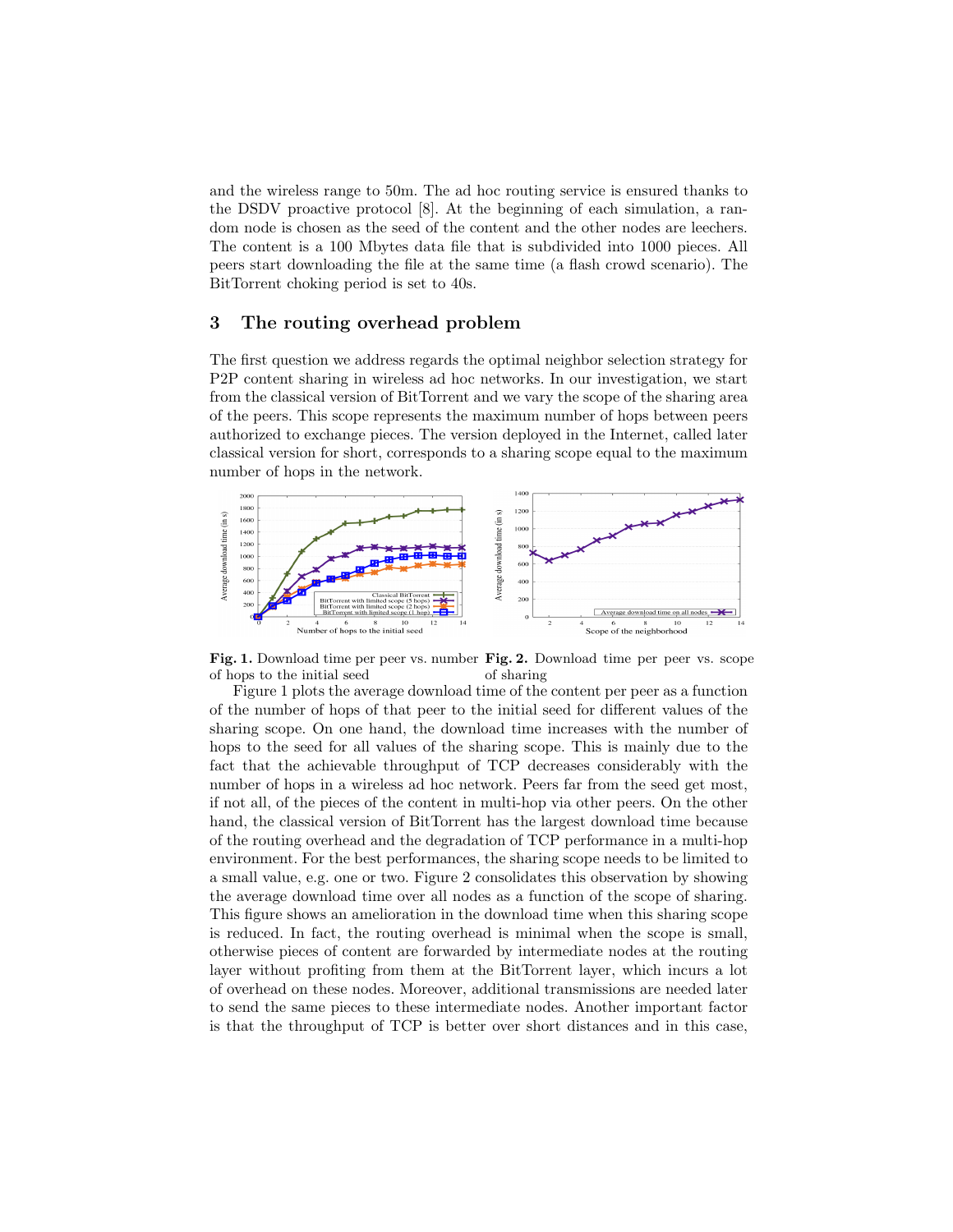and the wireless range to 50m. The ad hoc routing service is ensured thanks to the DSDV proactive protocol [8]. At the beginning of each simulation, a random node is chosen as the seed of the content and the other nodes are leechers. The content is a 100 Mbytes data file that is subdivided into 1000 pieces. All peers start downloading the file at the same time (a flash crowd scenario). The BitTorrent choking period is set to 40s.

# 3 The routing overhead problem

The first question we address regards the optimal neighbor selection strategy for P2P content sharing in wireless ad hoc networks. In our investigation, we start from the classical version of BitTorrent and we vary the scope of the sharing area of the peers. This scope represents the maximum number of hops between peers authorized to exchange pieces. The version deployed in the Internet, called later classical version for short, corresponds to a sharing scope equal to the maximum number of hops in the network.



Fig. 1. Download time per peer vs. number Fig. 2. Download time per peer vs. scope of hops to the initial seed of sharing

Figure 1 plots the average download time of the content per peer as a function of the number of hops of that peer to the initial seed for different values of the sharing scope. On one hand, the download time increases with the number of hops to the seed for all values of the sharing scope. This is mainly due to the fact that the achievable throughput of TCP decreases considerably with the number of hops in a wireless ad hoc network. Peers far from the seed get most, if not all, of the pieces of the content in multi-hop via other peers. On the other hand, the classical version of BitTorrent has the largest download time because of the routing overhead and the degradation of TCP performance in a multi-hop environment. For the best performances, the sharing scope needs to be limited to a small value, e.g. one or two. Figure 2 consolidates this observation by showing the average download time over all nodes as a function of the scope of sharing. This figure shows an amelioration in the download time when this sharing scope is reduced. In fact, the routing overhead is minimal when the scope is small, otherwise pieces of content are forwarded by intermediate nodes at the routing layer without profiting from them at the BitTorrent layer, which incurs a lot of overhead on these nodes. Moreover, additional transmissions are needed later to send the same pieces to these intermediate nodes. Another important factor is that the throughput of TCP is better over short distances and in this case,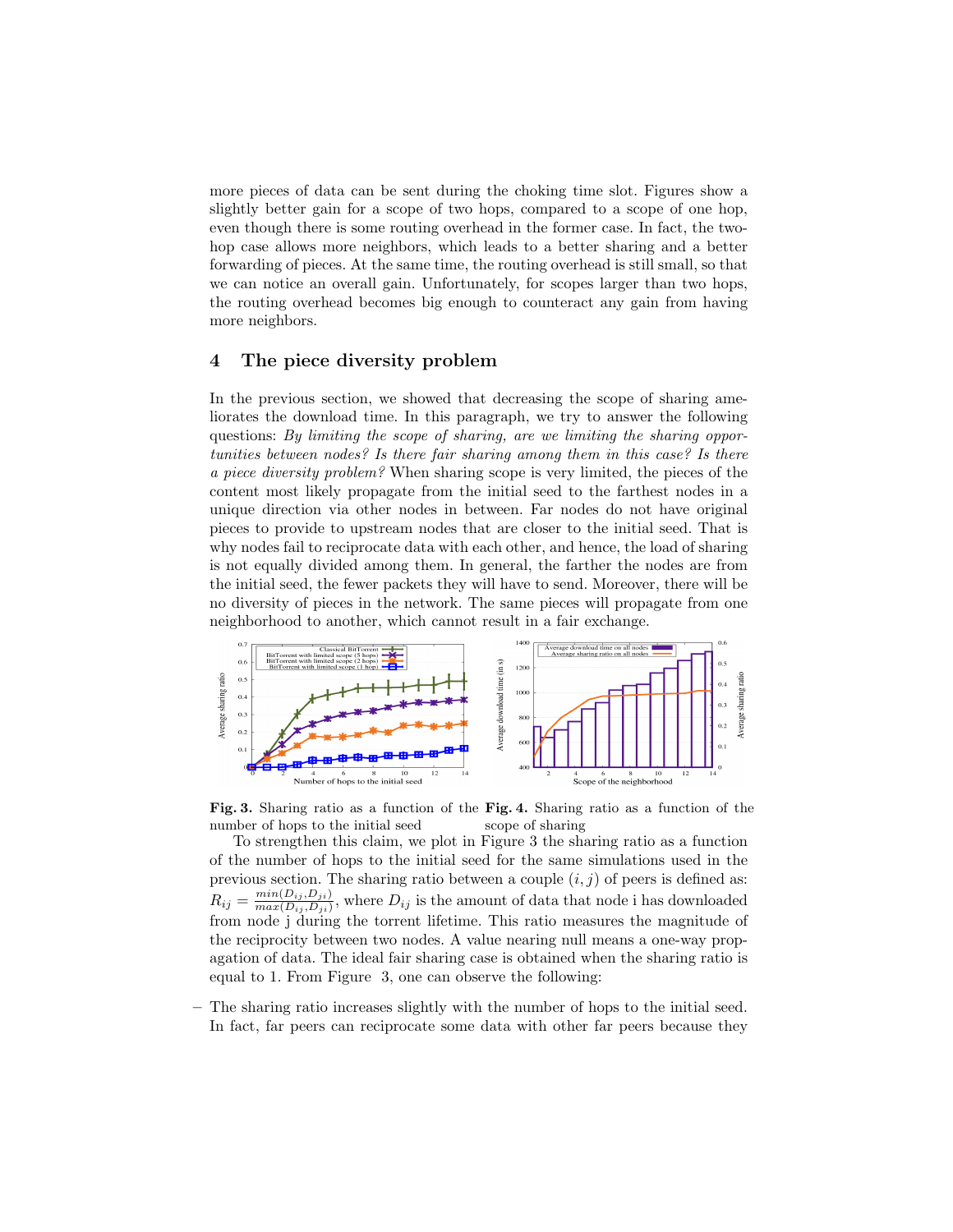more pieces of data can be sent during the choking time slot. Figures show a slightly better gain for a scope of two hops, compared to a scope of one hop, even though there is some routing overhead in the former case. In fact, the twohop case allows more neighbors, which leads to a better sharing and a better forwarding of pieces. At the same time, the routing overhead is still small, so that we can notice an overall gain. Unfortunately, for scopes larger than two hops, the routing overhead becomes big enough to counteract any gain from having more neighbors.

## 4 The piece diversity problem

In the previous section, we showed that decreasing the scope of sharing ameliorates the download time. In this paragraph, we try to answer the following questions: By limiting the scope of sharing, are we limiting the sharing opportunities between nodes? Is there fair sharing among them in this case? Is there a piece diversity problem? When sharing scope is very limited, the pieces of the content most likely propagate from the initial seed to the farthest nodes in a unique direction via other nodes in between. Far nodes do not have original pieces to provide to upstream nodes that are closer to the initial seed. That is why nodes fail to reciprocate data with each other, and hence, the load of sharing is not equally divided among them. In general, the farther the nodes are from the initial seed, the fewer packets they will have to send. Moreover, there will be no diversity of pieces in the network. The same pieces will propagate from one neighborhood to another, which cannot result in a fair exchange.



Fig. 3. Sharing ratio as a function of the Fig. 4. Sharing ratio as a function of the number of hops to the initial seed scope of sharing

To strengthen this claim, we plot in Figure 3 the sharing ratio as a function of the number of hops to the initial seed for the same simulations used in the previous section. The sharing ratio between a couple  $(i, j)$  of peers is defined as:  $R_{ij} = \frac{min(D_{ij}, D_{ji})}{max(D_{ij}, D_{ji})}$  $\frac{m_{in}(D_{ij}, D_{ji})}{max(D_{ij}, D_{ji})}$ , where  $D_{ij}$  is the amount of data that node i has downloaded from node j during the torrent lifetime. This ratio measures the magnitude of the reciprocity between two nodes. A value nearing null means a one-way propagation of data. The ideal fair sharing case is obtained when the sharing ratio is equal to 1. From Figure 3, one can observe the following:

– The sharing ratio increases slightly with the number of hops to the initial seed. In fact, far peers can reciprocate some data with other far peers because they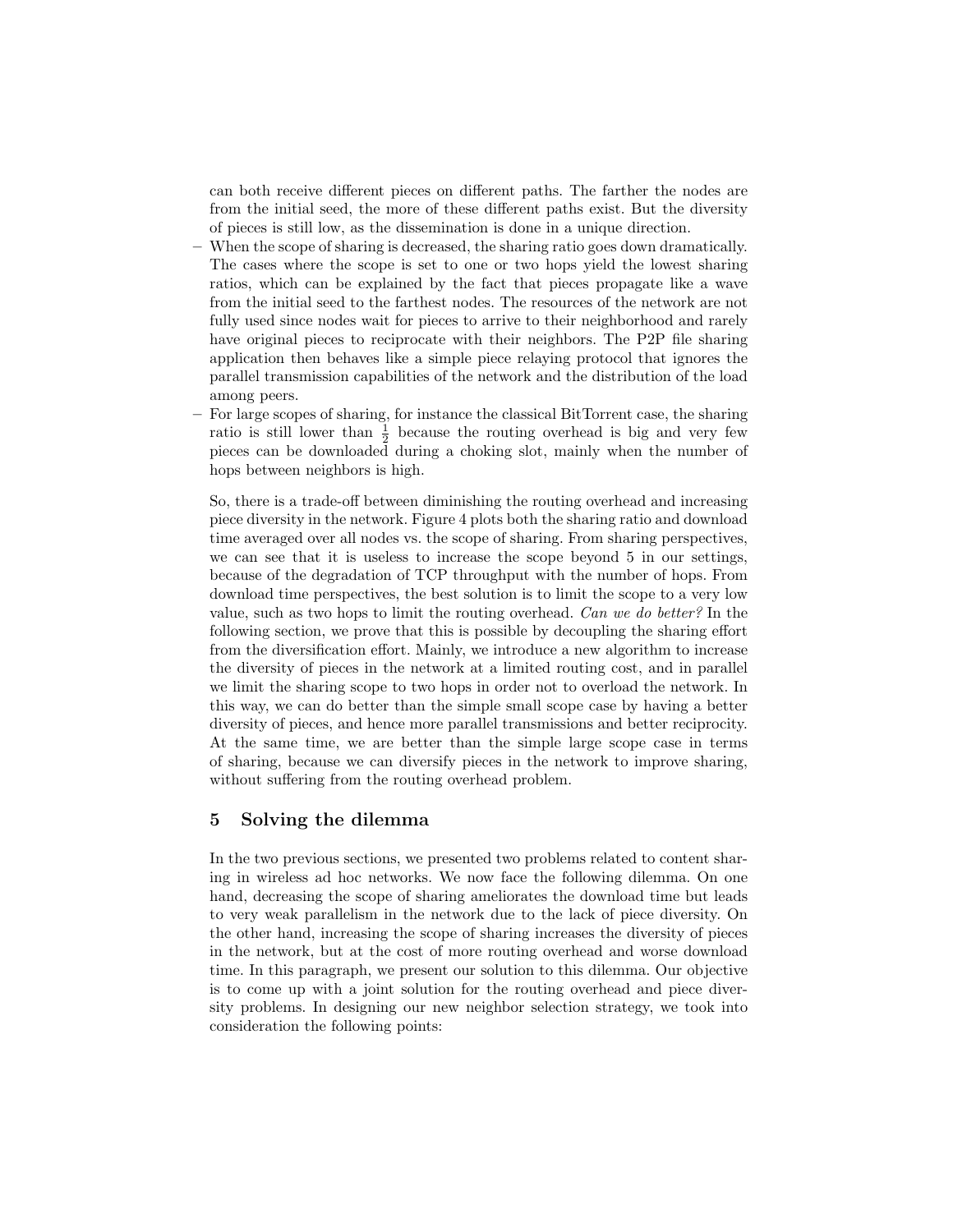can both receive different pieces on different paths. The farther the nodes are from the initial seed, the more of these different paths exist. But the diversity of pieces is still low, as the dissemination is done in a unique direction.

- When the scope of sharing is decreased, the sharing ratio goes down dramatically. The cases where the scope is set to one or two hops yield the lowest sharing ratios, which can be explained by the fact that pieces propagate like a wave from the initial seed to the farthest nodes. The resources of the network are not fully used since nodes wait for pieces to arrive to their neighborhood and rarely have original pieces to reciprocate with their neighbors. The P2P file sharing application then behaves like a simple piece relaying protocol that ignores the parallel transmission capabilities of the network and the distribution of the load among peers.
- For large scopes of sharing, for instance the classical BitTorrent case, the sharing ratio is still lower than  $\frac{1}{2}$  because the routing overhead is big and very few pieces can be downloaded during a choking slot, mainly when the number of hops between neighbors is high.

So, there is a trade-off between diminishing the routing overhead and increasing piece diversity in the network. Figure 4 plots both the sharing ratio and download time averaged over all nodes vs. the scope of sharing. From sharing perspectives, we can see that it is useless to increase the scope beyond 5 in our settings, because of the degradation of TCP throughput with the number of hops. From download time perspectives, the best solution is to limit the scope to a very low value, such as two hops to limit the routing overhead. Can we do better? In the following section, we prove that this is possible by decoupling the sharing effort from the diversification effort. Mainly, we introduce a new algorithm to increase the diversity of pieces in the network at a limited routing cost, and in parallel we limit the sharing scope to two hops in order not to overload the network. In this way, we can do better than the simple small scope case by having a better diversity of pieces, and hence more parallel transmissions and better reciprocity. At the same time, we are better than the simple large scope case in terms of sharing, because we can diversify pieces in the network to improve sharing, without suffering from the routing overhead problem.

# 5 Solving the dilemma

In the two previous sections, we presented two problems related to content sharing in wireless ad hoc networks. We now face the following dilemma. On one hand, decreasing the scope of sharing ameliorates the download time but leads to very weak parallelism in the network due to the lack of piece diversity. On the other hand, increasing the scope of sharing increases the diversity of pieces in the network, but at the cost of more routing overhead and worse download time. In this paragraph, we present our solution to this dilemma. Our objective is to come up with a joint solution for the routing overhead and piece diversity problems. In designing our new neighbor selection strategy, we took into consideration the following points: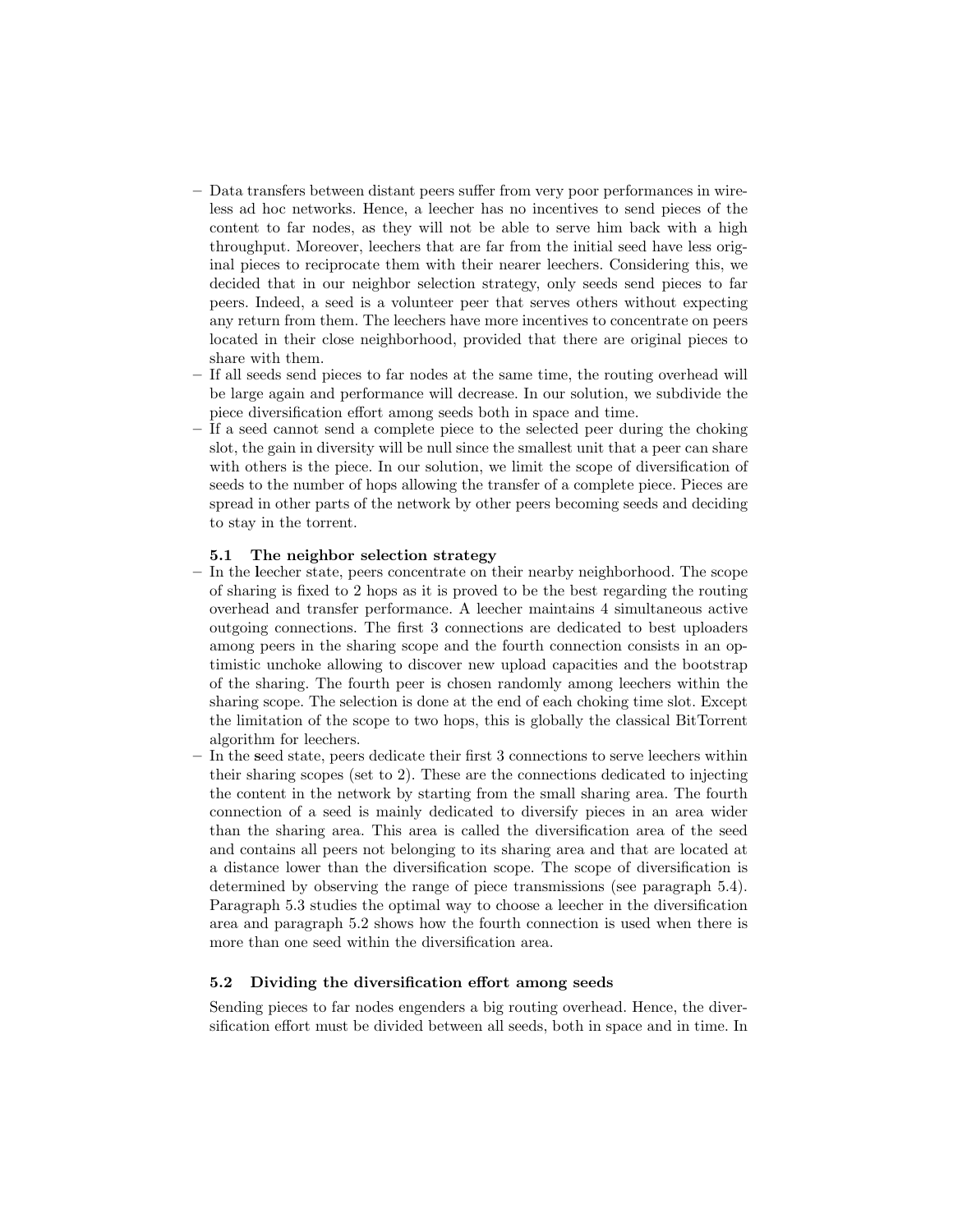- Data transfers between distant peers suffer from very poor performances in wireless ad hoc networks. Hence, a leecher has no incentives to send pieces of the content to far nodes, as they will not be able to serve him back with a high throughput. Moreover, leechers that are far from the initial seed have less original pieces to reciprocate them with their nearer leechers. Considering this, we decided that in our neighbor selection strategy, only seeds send pieces to far peers. Indeed, a seed is a volunteer peer that serves others without expecting any return from them. The leechers have more incentives to concentrate on peers located in their close neighborhood, provided that there are original pieces to share with them.
- If all seeds send pieces to far nodes at the same time, the routing overhead will be large again and performance will decrease. In our solution, we subdivide the piece diversification effort among seeds both in space and time.
- If a seed cannot send a complete piece to the selected peer during the choking slot, the gain in diversity will be null since the smallest unit that a peer can share with others is the piece. In our solution, we limit the scope of diversification of seeds to the number of hops allowing the transfer of a complete piece. Pieces are spread in other parts of the network by other peers becoming seeds and deciding to stay in the torrent.

# 5.1 The neighbor selection strategy

- In the leecher state, peers concentrate on their nearby neighborhood. The scope of sharing is fixed to 2 hops as it is proved to be the best regarding the routing overhead and transfer performance. A leecher maintains 4 simultaneous active outgoing connections. The first 3 connections are dedicated to best uploaders among peers in the sharing scope and the fourth connection consists in an optimistic unchoke allowing to discover new upload capacities and the bootstrap of the sharing. The fourth peer is chosen randomly among leechers within the sharing scope. The selection is done at the end of each choking time slot. Except the limitation of the scope to two hops, this is globally the classical BitTorrent algorithm for leechers.
- In the seed state, peers dedicate their first 3 connections to serve leechers within their sharing scopes (set to 2). These are the connections dedicated to injecting the content in the network by starting from the small sharing area. The fourth connection of a seed is mainly dedicated to diversify pieces in an area wider than the sharing area. This area is called the diversification area of the seed and contains all peers not belonging to its sharing area and that are located at a distance lower than the diversification scope. The scope of diversification is determined by observing the range of piece transmissions (see paragraph 5.4). Paragraph 5.3 studies the optimal way to choose a leecher in the diversification area and paragraph 5.2 shows how the fourth connection is used when there is more than one seed within the diversification area.

# 5.2 Dividing the diversification effort among seeds

Sending pieces to far nodes engenders a big routing overhead. Hence, the diversification effort must be divided between all seeds, both in space and in time. In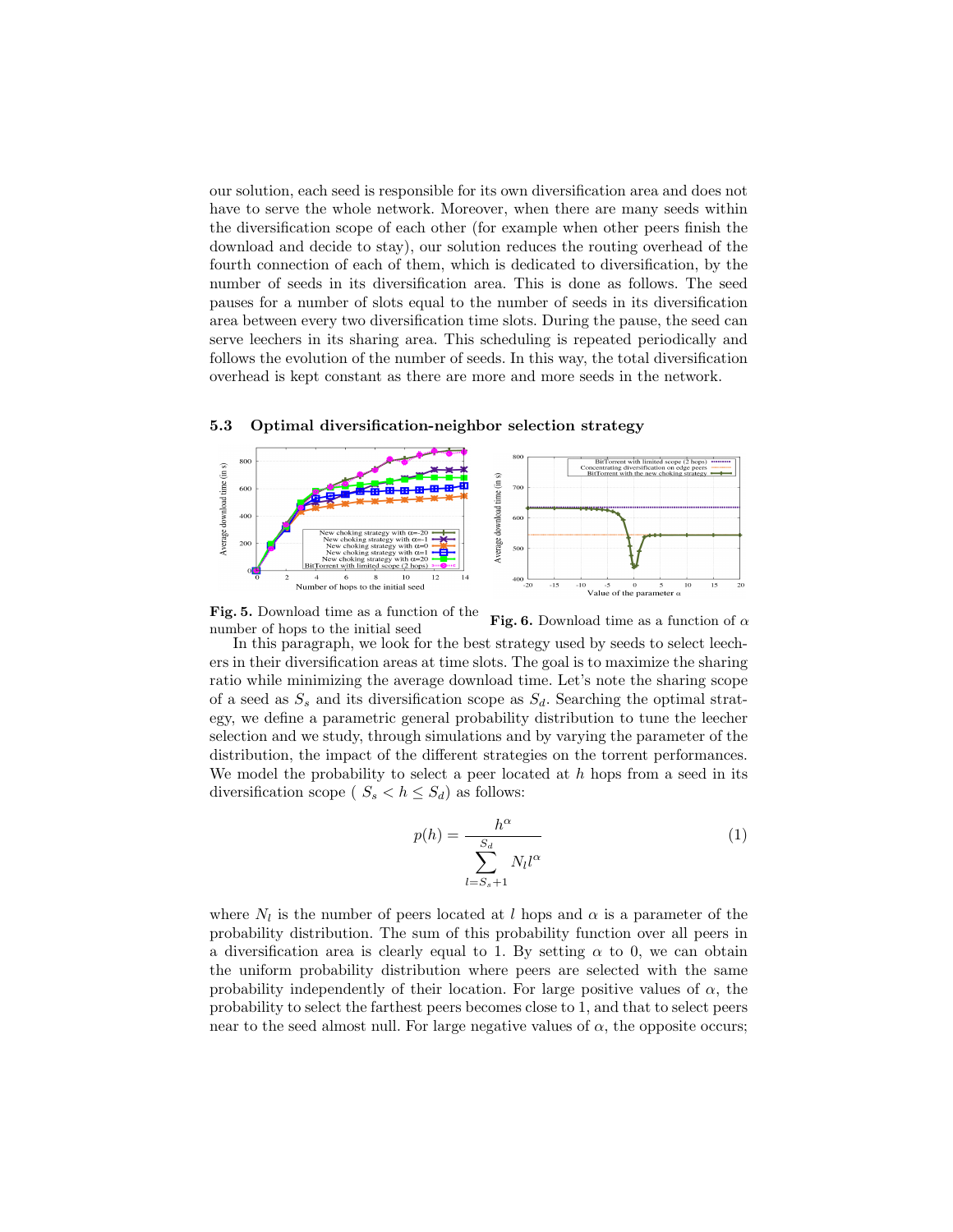our solution, each seed is responsible for its own diversification area and does not have to serve the whole network. Moreover, when there are many seeds within the diversification scope of each other (for example when other peers finish the download and decide to stay), our solution reduces the routing overhead of the fourth connection of each of them, which is dedicated to diversification, by the number of seeds in its diversification area. This is done as follows. The seed pauses for a number of slots equal to the number of seeds in its diversification area between every two diversification time slots. During the pause, the seed can serve leechers in its sharing area. This scheduling is repeated periodically and follows the evolution of the number of seeds. In this way, the total diversification overhead is kept constant as there are more and more seeds in the network.



5.3 Optimal diversification-neighbor selection strategy

 $10$ 

 $\overline{4}$ 

Number

Fig. 5. Download time as a function of the **Fig. 3.** Download time as a function of the Fig. 6. Download time as a function of  $\alpha$  number of hops to the initial seed

In this paragraph, we look for the best strategy used by seeds to select leechers in their diversification areas at time slots. The goal is to maximize the sharing ratio while minimizing the average download time. Let's note the sharing scope of a seed as  $S_s$  and its diversification scope as  $S_d$ . Searching the optimal strategy, we define a parametric general probability distribution to tune the leecher selection and we study, through simulations and by varying the parameter of the distribution, the impact of the different strategies on the torrent performances. We model the probability to select a peer located at  $h$  hops from a seed in its diversification scope (  $S_s < h \leq S_d$ ) as follows:

$$
p(h) = \frac{h^{\alpha}}{\sum_{l=S_s+1}^{S_d} N_l l^{\alpha}}
$$
\n
$$
(1)
$$

 $-5$  0 5<br>Value of the parameter of

10

where  $N_l$  is the number of peers located at l hops and  $\alpha$  is a parameter of the probability distribution. The sum of this probability function over all peers in a diversification area is clearly equal to 1. By setting  $\alpha$  to 0, we can obtain the uniform probability distribution where peers are selected with the same probability independently of their location. For large positive values of  $\alpha$ , the probability to select the farthest peers becomes close to 1, and that to select peers near to the seed almost null. For large negative values of  $\alpha$ , the opposite occurs;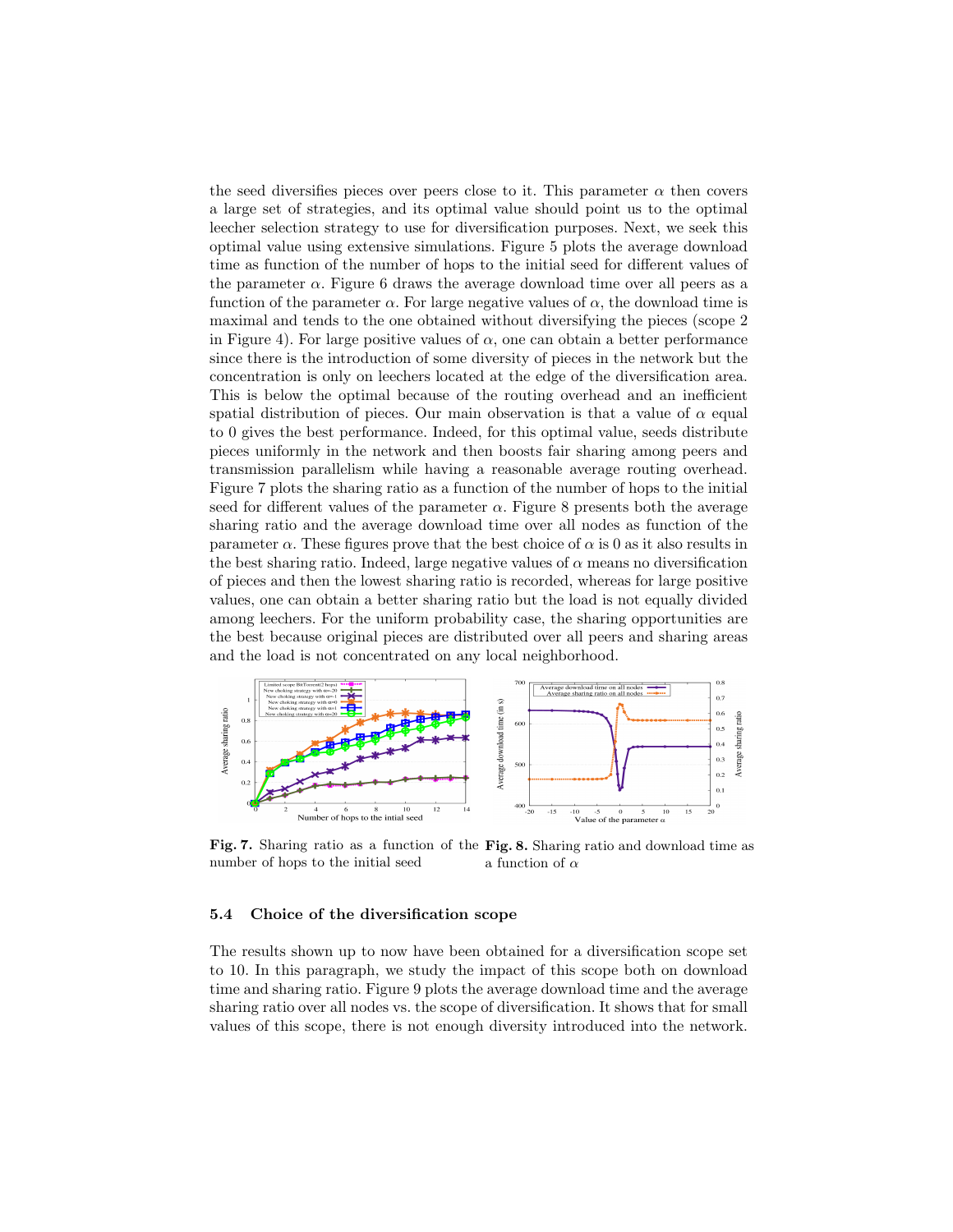the seed diversifies pieces over peers close to it. This parameter  $\alpha$  then covers a large set of strategies, and its optimal value should point us to the optimal leecher selection strategy to use for diversification purposes. Next, we seek this optimal value using extensive simulations. Figure 5 plots the average download time as function of the number of hops to the initial seed for different values of the parameter  $\alpha$ . Figure 6 draws the average download time over all peers as a function of the parameter  $\alpha$ . For large negative values of  $\alpha$ , the download time is maximal and tends to the one obtained without diversifying the pieces (scope 2 in Figure 4). For large positive values of  $\alpha$ , one can obtain a better performance since there is the introduction of some diversity of pieces in the network but the concentration is only on leechers located at the edge of the diversification area. This is below the optimal because of the routing overhead and an inefficient spatial distribution of pieces. Our main observation is that a value of  $\alpha$  equal to 0 gives the best performance. Indeed, for this optimal value, seeds distribute pieces uniformly in the network and then boosts fair sharing among peers and transmission parallelism while having a reasonable average routing overhead. Figure 7 plots the sharing ratio as a function of the number of hops to the initial seed for different values of the parameter  $\alpha$ . Figure 8 presents both the average sharing ratio and the average download time over all nodes as function of the parameter  $\alpha$ . These figures prove that the best choice of  $\alpha$  is 0 as it also results in the best sharing ratio. Indeed, large negative values of  $\alpha$  means no diversification of pieces and then the lowest sharing ratio is recorded, whereas for large positive values, one can obtain a better sharing ratio but the load is not equally divided among leechers. For the uniform probability case, the sharing opportunities are the best because original pieces are distributed over all peers and sharing areas and the load is not concentrated on any local neighborhood.



Fig. 7. Sharing ratio as a function of the Fig. 8. Sharing ratio and download time as number of hops to the initial seed a function of  $\alpha$ 

#### 5.4 Choice of the diversification scope

The results shown up to now have been obtained for a diversification scope set to 10. In this paragraph, we study the impact of this scope both on download time and sharing ratio. Figure 9 plots the average download time and the average sharing ratio over all nodes vs. the scope of diversification. It shows that for small values of this scope, there is not enough diversity introduced into the network.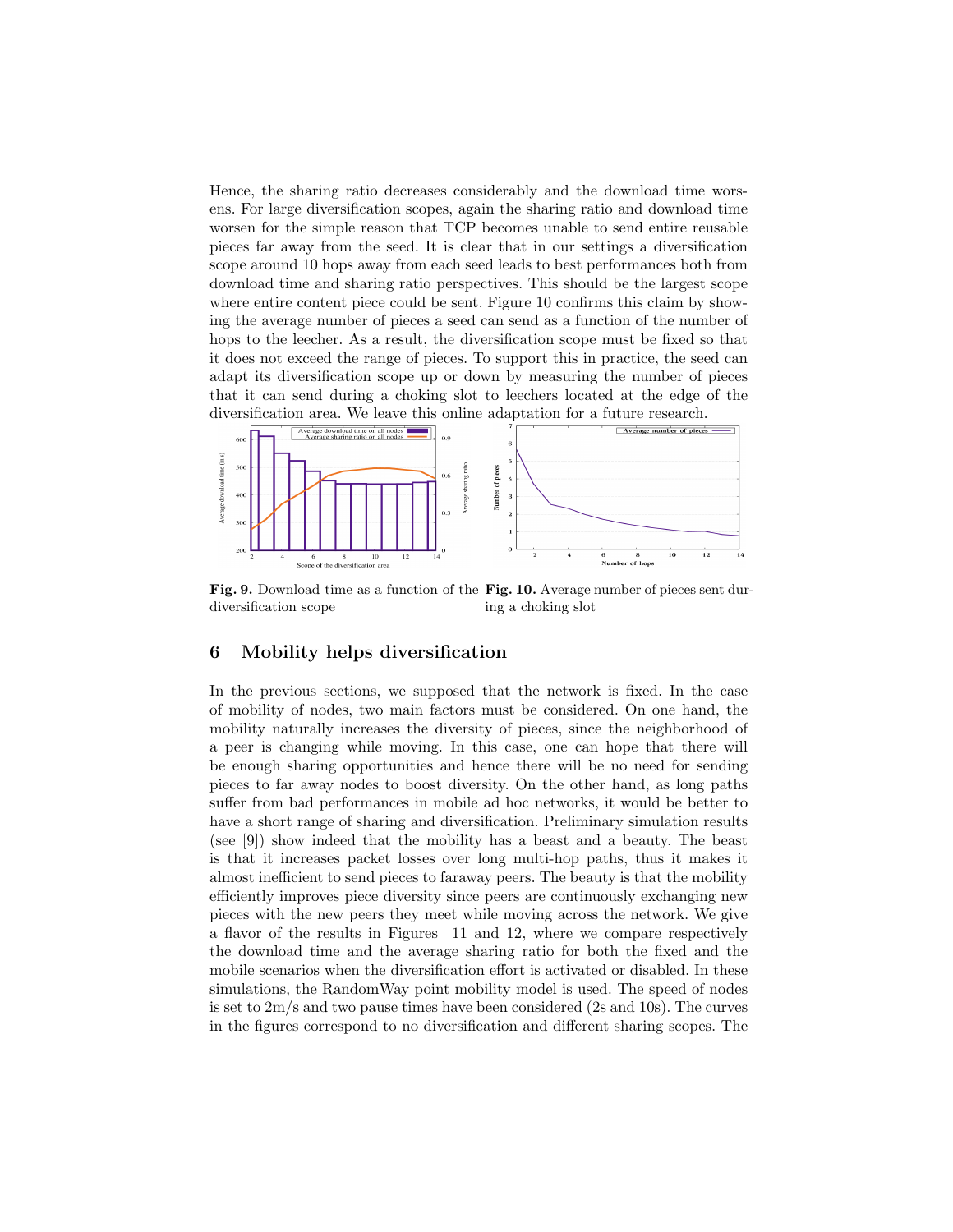Hence, the sharing ratio decreases considerably and the download time worsens. For large diversification scopes, again the sharing ratio and download time worsen for the simple reason that TCP becomes unable to send entire reusable pieces far away from the seed. It is clear that in our settings a diversification scope around 10 hops away from each seed leads to best performances both from download time and sharing ratio perspectives. This should be the largest scope where entire content piece could be sent. Figure 10 confirms this claim by showing the average number of pieces a seed can send as a function of the number of hops to the leecher. As a result, the diversification scope must be fixed so that it does not exceed the range of pieces. To support this in practice, the seed can adapt its diversification scope up or down by measuring the number of pieces that it can send during a choking slot to leechers located at the edge of the diversification area. We leave this online adaptation for a future research.



Fig. 9. Download time as a function of the Fig. 10. Average number of pieces sent durdiversification scope ing a choking slot

# 6 Mobility helps diversification

In the previous sections, we supposed that the network is fixed. In the case of mobility of nodes, two main factors must be considered. On one hand, the mobility naturally increases the diversity of pieces, since the neighborhood of a peer is changing while moving. In this case, one can hope that there will be enough sharing opportunities and hence there will be no need for sending pieces to far away nodes to boost diversity. On the other hand, as long paths suffer from bad performances in mobile ad hoc networks, it would be better to have a short range of sharing and diversification. Preliminary simulation results (see [9]) show indeed that the mobility has a beast and a beauty. The beast is that it increases packet losses over long multi-hop paths, thus it makes it almost inefficient to send pieces to faraway peers. The beauty is that the mobility efficiently improves piece diversity since peers are continuously exchanging new pieces with the new peers they meet while moving across the network. We give a flavor of the results in Figures 11 and 12, where we compare respectively the download time and the average sharing ratio for both the fixed and the mobile scenarios when the diversification effort is activated or disabled. In these simulations, the RandomWay point mobility model is used. The speed of nodes is set to 2m/s and two pause times have been considered (2s and 10s). The curves in the figures correspond to no diversification and different sharing scopes. The